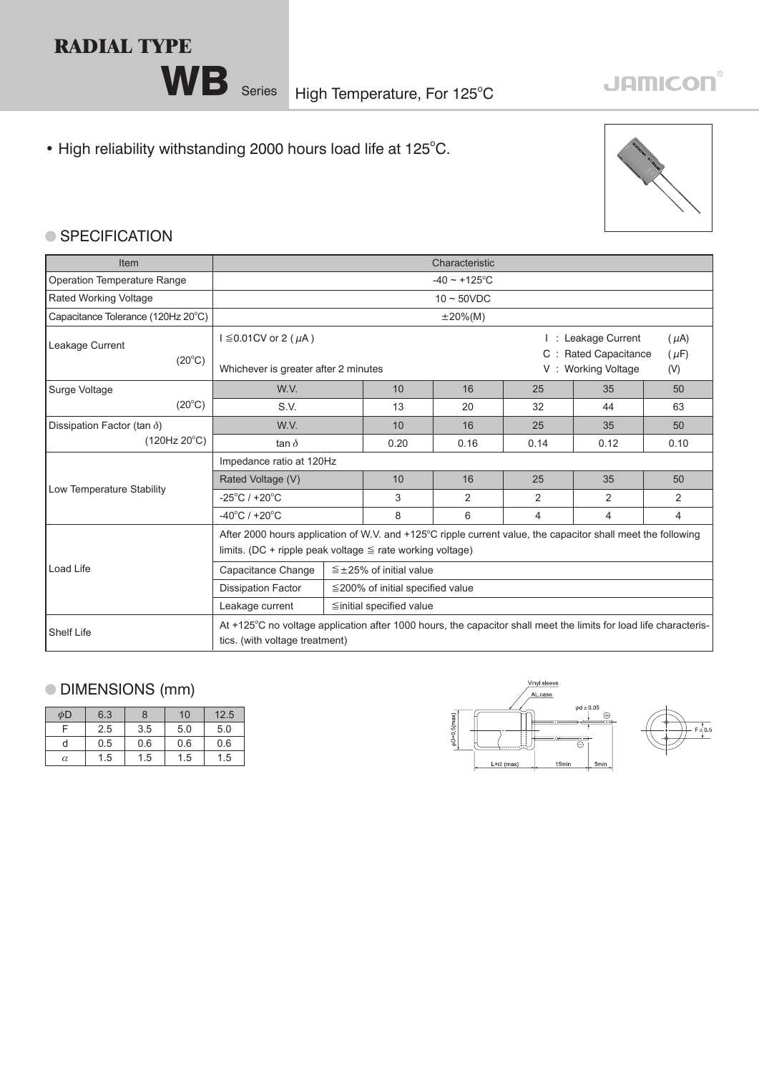## **RADIAL TYPE**

• High reliability withstanding 2000 hours load life at 125°C.



## ● SPECIFICATION

| <b>Item</b>                        | Characteristic                                                                                                                                                                 |                                        |      |      |                |                                                                         |                |  |
|------------------------------------|--------------------------------------------------------------------------------------------------------------------------------------------------------------------------------|----------------------------------------|------|------|----------------|-------------------------------------------------------------------------|----------------|--|
| <b>Operation Temperature Range</b> | $-40 \sim +125$ °C                                                                                                                                                             |                                        |      |      |                |                                                                         |                |  |
| <b>Rated Working Voltage</b>       | $10 \sim 50$ VDC                                                                                                                                                               |                                        |      |      |                |                                                                         |                |  |
| Capacitance Tolerance (120Hz 20°C) |                                                                                                                                                                                | $\pm 20\%$ (M)                         |      |      |                |                                                                         |                |  |
| Leakage Current<br>$(20^{\circ}C)$ | $I \leq 0.01$ CV or 2 ( $\mu$ A)                                                                                                                                               |                                        |      |      | C :            | : Leakage Current<br>$(\mu A)$<br><b>Rated Capacitance</b><br>$(\mu F)$ |                |  |
|                                    | Whichever is greater after 2 minutes                                                                                                                                           |                                        |      |      |                | V: Working Voltage<br>(V)                                               |                |  |
| Surge Voltage                      | W.V.                                                                                                                                                                           |                                        | 10   | 16   | 25             | 35                                                                      | 50             |  |
| $(20^{\circ}C)$                    | S.V.                                                                                                                                                                           |                                        | 13   | 20   | 32             | 44                                                                      | 63             |  |
| Dissipation Factor (tan $\delta$ ) | W.V.                                                                                                                                                                           |                                        | 10   | 16   | 25             | 35                                                                      | 50             |  |
| (120Hz 20°C)                       | tan $\delta$                                                                                                                                                                   |                                        | 0.20 | 0.16 | 0.14           | 0.12                                                                    | 0.10           |  |
|                                    | Impedance ratio at 120Hz                                                                                                                                                       |                                        |      |      |                |                                                                         |                |  |
|                                    | Rated Voltage (V)                                                                                                                                                              |                                        | 10   | 16   | 25             | 35                                                                      | 50             |  |
| Low Temperature Stability          | $-25^{\circ}$ C / +20 $^{\circ}$ C                                                                                                                                             |                                        | 3    | 2    | 2              | 2                                                                       | $\overline{2}$ |  |
|                                    | $-40^{\circ}$ C / +20 $^{\circ}$ C                                                                                                                                             |                                        | 8    | 6    | $\overline{4}$ | 4                                                                       | $\overline{4}$ |  |
|                                    | After 2000 hours application of W.V. and +125°C ripple current value, the capacitor shall meet the following<br>limits. (DC + ripple peak voltage $\leq$ rate working voltage) |                                        |      |      |                |                                                                         |                |  |
| Load Life                          | Capacitance Change                                                                                                                                                             | $\leq$ ±25% of initial value           |      |      |                |                                                                         |                |  |
|                                    | <b>Dissipation Factor</b>                                                                                                                                                      | $\leq$ 200% of initial specified value |      |      |                |                                                                         |                |  |
|                                    | Leakage current                                                                                                                                                                | $\leq$ initial specified value         |      |      |                |                                                                         |                |  |
| <b>Shelf Life</b>                  | At +125°C no voltage application after 1000 hours, the capacitor shall meet the limits for load life characteris-<br>tics. (with voltage treatment)                            |                                        |      |      |                |                                                                         |                |  |

## DIMENSIONS (mm)

| φD       | 6.3 | ጸ   | 10  | 12.5 |
|----------|-----|-----|-----|------|
|          | 2.5 | 3.5 | 5.0 | 5.0  |
| d        | 0.5 | 0.6 | 0.6 | 0.6  |
| $\alpha$ | 1.5 | 1.5 | 1.5 | 1.5  |